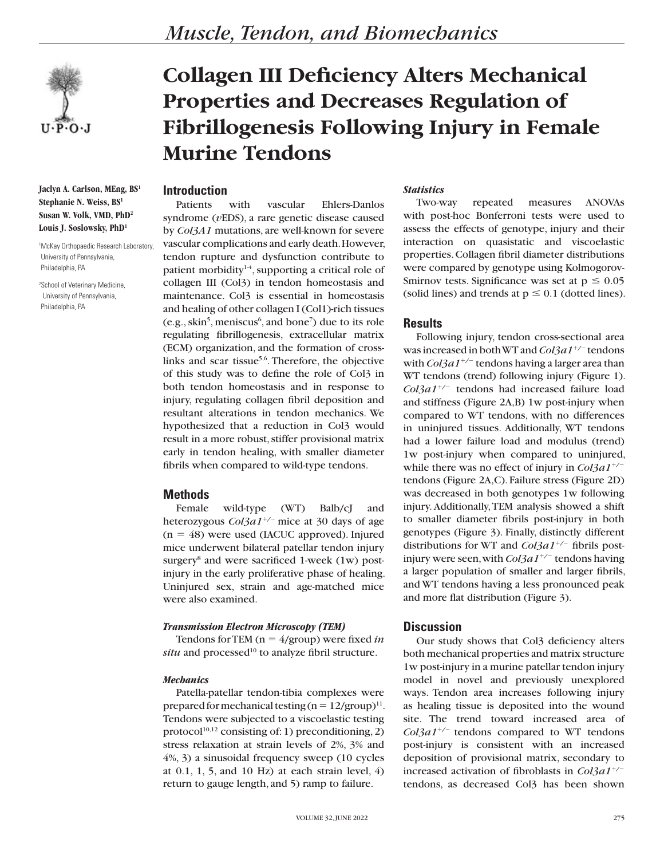

**Jaclyn A. Carlson, MEng, BS1 Stephanie N. Weiss, BS1 Susan W. Volk, VMD, PhD2 Louis J. Soslowsky, PhD1**

1 McKay Orthopaedic Research Laboratory, University of Pennsylvania, Philadelphia, PA

2 School of Veterinary Medicine, University of Pennsylvania, Philadelphia, PA

# **Collagen III Deficiency Alters Mechanical Properties and Decreases Regulation of Fibrillogenesis Following Injury in Female Murine Tendons**

## **Introduction**

Patients with vascular Ehlers-Danlos syndrome (*v*EDS), a rare genetic disease caused by *Col3A1* mutations, are well-known for severe vascular complications and early death. However, tendon rupture and dysfunction contribute to patient morbidity $14$ , supporting a critical role of collagen III (Col3) in tendon homeostasis and maintenance. Col3 is essential in homeostasis and healing of other collagen I (Col1)-rich tissues  $(e.g., skin<sup>5</sup>, meniscus<sup>6</sup>, and bone<sup>7</sup>)$  due to its role regulating fibrillogenesis, extracellular matrix (ECM) organization, and the formation of crosslinks and scar tissue<sup>5,6</sup>. Therefore, the objective of this study was to define the role of Col3 in both tendon homeostasis and in response to injury, regulating collagen fibril deposition and resultant alterations in tendon mechanics. We hypothesized that a reduction in Col3 would result in a more robust, stiffer provisional matrix early in tendon healing, with smaller diameter fibrils when compared to wild-type tendons.

# **Methods**

Female wild-type (WT) Balb/cJ and heterozygous  $Col3a1^{+/-}$  mice at 30 days of age  $(n = 48)$  were used (IACUC approved). Injured mice underwent bilateral patellar tendon injury surgery<sup>8</sup> and were sacrificed 1-week (1w) postinjury in the early proliferative phase of healing. Uninjured sex, strain and age-matched mice were also examined.

### *Transmission Electron Microscopy (TEM)*

Tendons for TEM ( $n = 4$ /group) were fixed *in* situ and processed<sup>10</sup> to analyze fibril structure.

#### *Mechanics*

Patella-patellar tendon-tibia complexes were prepared for mechanical testing  $(n=12/\text{group})^{11}$ . Tendons were subjected to a viscoelastic testing protocol<sup>10,12</sup> consisting of: 1) preconditioning, 2) stress relaxation at strain levels of 2%, 3% and 4%, 3) a sinusoidal frequency sweep (10 cycles at  $0.1$ ,  $1$ ,  $5$ , and  $10$  Hz) at each strain level,  $4$ ) return to gauge length, and 5) ramp to failure.

#### *Statistics*

Two-way repeated measures ANOVAs with post-hoc Bonferroni tests were used to assess the effects of genotype, injury and their interaction on quasistatic and viscoelastic properties. Collagen fibril diameter distributions were compared by genotype using Kolmogorov-Smirnov tests. Significance was set at  $p \le 0.05$ (solid lines) and trends at  $p \le 0.1$  (dotted lines).

### **Results**

Following injury, tendon cross-sectional area was increased in both WT and *Col3a1<sup>+/-</sup>* tendons with  $Col3a1^{+/-}$  tendons having a larger area than WT tendons (trend) following injury (Figure 1). Col3a1<sup>+/-</sup> tendons had increased failure load and stiffness (Figure 2A,B) 1w post-injury when compared to WT tendons, with no differences in uninjured tissues. Additionally, WT tendons had a lower failure load and modulus (trend) 1w post-injury when compared to uninjured, while there was no effect of injury in *Col3a1<sup>+/-</sup>* tendons (Figure 2A,C). Failure stress (Figure 2D) was decreased in both genotypes 1w following injury. Additionally, TEM analysis showed a shift to smaller diameter fibrils post-injury in both genotypes (Figure 3). Finally, distinctly different distributions for WT and *Col3a1<sup>+/-</sup>* fibrils postinjury were seen, with *Col3a1<sup>+/-</sup>* tendons having a larger population of smaller and larger fibrils, and WT tendons having a less pronounced peak and more flat distribution (Figure 3).

# **Discussion**

Our study shows that Col3 deficiency alters both mechanical properties and matrix structure 1w post-injury in a murine patellar tendon injury model in novel and previously unexplored ways. Tendon area increases following injury as healing tissue is deposited into the wound site. The trend toward increased area of  $Col3a1^{+/-}$  tendons compared to WT tendons post-injury is consistent with an increased deposition of provisional matrix, secondary to increased activation of fibroblasts in  $Col3a1^{+/-}$ tendons, as decreased Col3 has been shown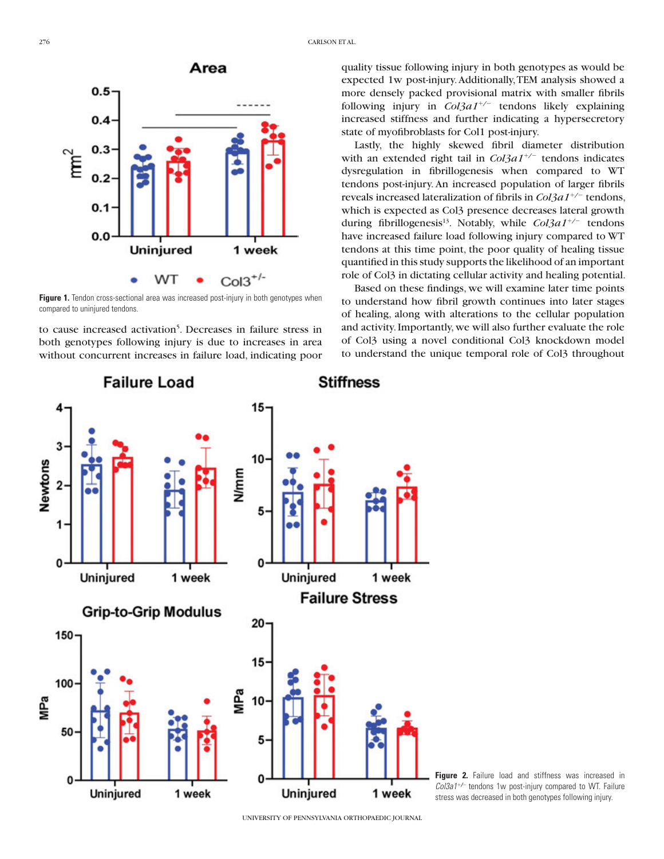

Figure 1. Tendon cross-sectional area was increased post-injury in both genotypes when compared to uninjured tendons.

to cause increased activation<sup>5</sup>. Decreases in failure stress in both genotypes following injury is due to increases in area without concurrent increases in failure load, indicating poor

quality tissue following injury in both genotypes as would be expected 1w post-injury. Additionally, TEM analysis showed a more densely packed provisional matrix with smaller fibrils following injury in *Col3a1<sup>+/-</sup>* tendons likely explaining increased stiffness and further indicating a hypersecretory state of myofibroblasts for Col1 post-injury.

Lastly, the highly skewed fibril diameter distribution with an extended right tail in *Col3a1<sup>+/-</sup>* tendons indicates dysregulation in fibrillogenesis when compared to WT tendons post-injury. An increased population of larger fibrils reveals increased lateralization of fibrils in *Col3a1<sup>+/-</sup>* tendons, which is expected as Col3 presence decreases lateral growth during fibrillogenesis<sup>13</sup>. Notably, while *Col3a1<sup>+/-</sup>* tendons have increased failure load following injury compared to WT tendons at this time point, the poor quality of healing tissue quantified in this study supports the likelihood of an important role of Col3 in dictating cellular activity and healing potential.

Based on these findings, we will examine later time points to understand how fibril growth continues into later stages of healing, along with alterations to the cellular population and activity. Importantly, we will also further evaluate the role of Col3 using a novel conditional Col3 knockdown model to understand the unique temporal role of Col3 throughout



Figure 2. Failure load and stiffness was increased in Col3a1<sup>+/-</sup> tendons 1w post-injury compared to WT. Failure stress was decreased in both genotypes following injury.

UNIVERSITY OF PENNSYLVANIA ORTHOPAEDIC JOURNAL